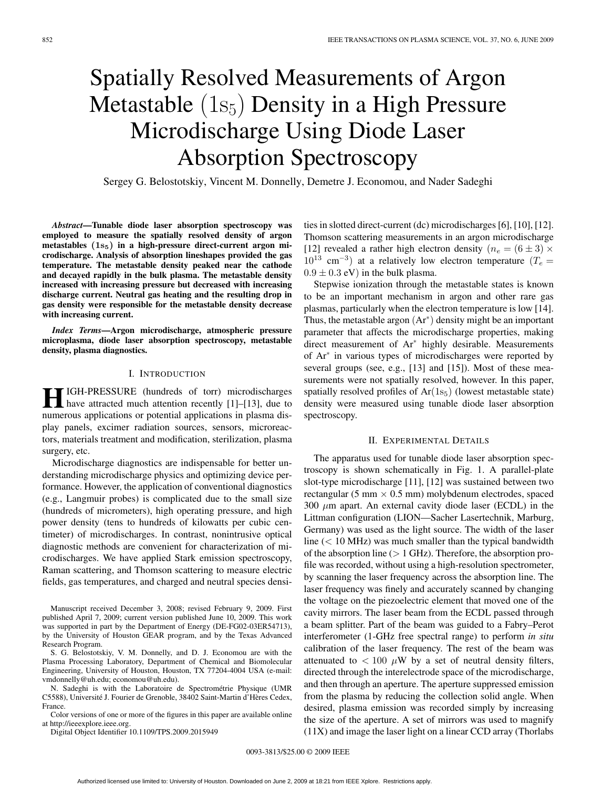# Spatially Resolved Measurements of Argon Metastable  $(1s_5)$  Density in a High Pressure Microdischarge Using Diode Laser Absorption Spectroscopy

Sergey G. Belostotskiy, Vincent M. Donnelly, Demetre J. Economou, and Nader Sadeghi

*Abstract***—Tunable diode laser absorption spectroscopy was employed to measure the spatially resolved density of argon metastables (1s5) in a high-pressure direct-current argon microdischarge. Analysis of absorption lineshapes provided the gas temperature. The metastable density peaked near the cathode and decayed rapidly in the bulk plasma. The metastable density increased with increasing pressure but decreased with increasing discharge current. Neutral gas heating and the resulting drop in gas density were responsible for the metastable density decrease with increasing current.**

*Index Terms***—Argon microdischarge, atmospheric pressure microplasma, diode laser absorption spectroscopy, metastable density, plasma diagnostics.**

# I. INTRODUCTION

**H**IGH-PRESSURE (hundreds of torr) microdischarges<br>have attracted much attention recently [1]–[13], due to numerous applications or potential applications in plasma display panels, excimer radiation sources, sensors, microreactors, materials treatment and modification, sterilization, plasma surgery, etc.

Microdischarge diagnostics are indispensable for better understanding microdischarge physics and optimizing device performance. However, the application of conventional diagnostics (e.g., Langmuir probes) is complicated due to the small size (hundreds of micrometers), high operating pressure, and high power density (tens to hundreds of kilowatts per cubic centimeter) of microdischarges. In contrast, nonintrusive optical diagnostic methods are convenient for characterization of microdischarges. We have applied Stark emission spectroscopy, Raman scattering, and Thomson scattering to measure electric fields, gas temperatures, and charged and neutral species densi-

Manuscript received December 3, 2008; revised February 9, 2009. First published April 7, 2009; current version published June 10, 2009. This work was supported in part by the Department of Energy (DE-FG02-03ER54713), by the University of Houston GEAR program, and by the Texas Advanced Research Program.

S. G. Belostotskiy, V. M. Donnelly, and D. J. Economou are with the Plasma Processing Laboratory, Department of Chemical and Biomolecular Engineering, University of Houston, Houston, TX 77204-4004 USA (e-mail: vmdonnelly@uh.edu; economou@uh.edu).

N. Sadeghi is with the Laboratoire de Spectrométrie Physique (UMR C5588), Université J. Fourier de Grenoble, 38402 Saint-Martin d'Hères Cedex, France.

Color versions of one or more of the figures in this paper are available online at http://ieeexplore.ieee.org.

Digital Object Identifier 10.1109/TPS.2009.2015949

ties in slotted direct-current (dc) microdischarges [6], [10], [12]. Thomson scattering measurements in an argon microdischarge [12] revealed a rather high electron density  $(n_e = (6 \pm 3) \times$  $10^{13}$  cm<sup>-3</sup>) at a relatively low electron temperature ( $T_e =$  $0.9 \pm 0.3$  eV) in the bulk plasma.

Stepwise ionization through the metastable states is known to be an important mechanism in argon and other rare gas plasmas, particularly when the electron temperature is low [14]. Thus, the metastable argon  $(Ar^*)$  density might be an important parameter that affects the microdischarge properties, making direct measurement of Ar<sup>∗</sup> highly desirable. Measurements of Ar<sup>∗</sup> in various types of microdischarges were reported by several groups (see, e.g., [13] and [15]). Most of these measurements were not spatially resolved, however. In this paper, spatially resolved profiles of  $Ar(1s<sub>5</sub>)$  (lowest metastable state) density were measured using tunable diode laser absorption spectroscopy.

#### II. EXPERIMENTAL DETAILS

The apparatus used for tunable diode laser absorption spectroscopy is shown schematically in Fig. 1. A parallel-plate slot-type microdischarge [11], [12] was sustained between two rectangular (5 mm  $\times$  0.5 mm) molybdenum electrodes, spaced 300  $\mu$ m apart. An external cavity diode laser (ECDL) in the Littman configuration (LION—Sacher Lasertechnik, Marburg, Germany) was used as the light source. The width of the laser line  $(< 10$  MHz) was much smaller than the typical bandwidth of the absorption line  $(> 1 \text{ GHz})$ . Therefore, the absorption profile was recorded, without using a high-resolution spectrometer, by scanning the laser frequency across the absorption line. The laser frequency was finely and accurately scanned by changing the voltage on the piezoelectric element that moved one of the cavity mirrors. The laser beam from the ECDL passed through a beam splitter. Part of the beam was guided to a Fabry–Perot interferometer (1-GHz free spectral range) to perform *in situ* calibration of the laser frequency. The rest of the beam was attenuated to  $< 100 \mu W$  by a set of neutral density filters, directed through the interelectrode space of the microdischarge, and then through an aperture. The aperture suppressed emission from the plasma by reducing the collection solid angle. When desired, plasma emission was recorded simply by increasing the size of the aperture. A set of mirrors was used to magnify (11X) and image the laser light on a linear CCD array (Thorlabs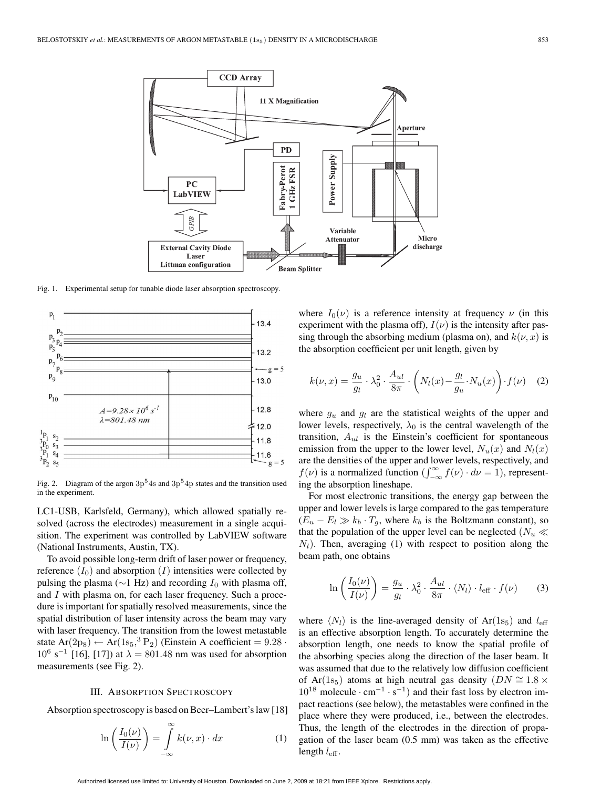

Fig. 1. Experimental setup for tunable diode laser absorption spectroscopy.



Fig. 2. Diagram of the argon  $3p<sup>5</sup>4s$  and  $3p<sup>5</sup>4p$  states and the transition used in the experiment.

LC1-USB, Karlsfeld, Germany), which allowed spatially resolved (across the electrodes) measurement in a single acquisition. The experiment was controlled by LabVIEW software (National Instruments, Austin, TX).

To avoid possible long-term drift of laser power or frequency, reference  $(I_0)$  and absorption  $(I)$  intensities were collected by pulsing the plasma ( $\sim$ 1 Hz) and recording  $I_0$  with plasma off, and I with plasma on, for each laser frequency. Such a procedure is important for spatially resolved measurements, since the spatial distribution of laser intensity across the beam may vary with laser frequency. The transition from the lowest metastable state  $Ar(2p_8) \leftarrow Ar(1s_5, ^3P_2)$  (Einstein A coefficient = 9.28 ·  $10^6$  s<sup>-1</sup> [16], [17]) at  $\lambda = 801.48$  nm was used for absorption measurements (see Fig. 2).

### III. ABSORPTION SPECTROSCOPY

Absorption spectroscopy is based on Beer–Lambert's law [18]

$$
\ln\left(\frac{I_0(\nu)}{I(\nu)}\right) = \int_{-\infty}^{\infty} k(\nu, x) \cdot dx \tag{1}
$$

where  $I_0(\nu)$  is a reference intensity at frequency  $\nu$  (in this experiment with the plasma off),  $I(\nu)$  is the intensity after passing through the absorbing medium (plasma on), and  $k(\nu, x)$  is the absorption coefficient per unit length, given by

$$
k(\nu, x) = \frac{g_u}{g_l} \cdot \lambda_0^2 \cdot \frac{A_{ul}}{8\pi} \cdot \left( N_l(x) - \frac{g_l}{g_u} \cdot N_u(x) \right) \cdot f(\nu) \quad (2)
$$

where  $g_u$  and  $g_l$  are the statistical weights of the upper and lower levels, respectively,  $\lambda_0$  is the central wavelength of the transition,  $A_{ul}$  is the Einstein's coefficient for spontaneous emission from the upper to the lower level,  $N_u(x)$  and  $N_l(x)$ are the densities of the upper and lower levels, respectively, and  $f(\nu)$  is a normalized function  $(\int_{-\infty}^{\infty} f(\nu) \cdot d\nu = 1)$ , representing the absorption lineshape.

For most electronic transitions, the energy gap between the upper and lower levels is large compared to the gas temperature  $(E_u - E_l \gg k_b \cdot T_q$ , where  $k_b$  is the Boltzmann constant), so that the population of the upper level can be neglected  $(N_u \ll 1)$  $N_l$ ). Then, averaging (1) with respect to position along the beam path, one obtains

$$
\ln\left(\frac{I_0(\nu)}{I(\nu)}\right) = \frac{g_u}{g_l} \cdot \lambda_0^2 \cdot \frac{A_{ul}}{8\pi} \cdot \langle N_l \rangle \cdot l_{\text{eff}} \cdot f(\nu) \qquad (3)
$$

where  $\langle N_l \rangle$  is the line-averaged density of Ar(1s<sub>5</sub>) and  $l_{\text{eff}}$ is an effective absorption length. To accurately determine the absorption length, one needs to know the spatial profile of the absorbing species along the direction of the laser beam. It was assumed that due to the relatively low diffusion coefficient of Ar(1s<sub>5</sub>) atoms at high neutral gas density ( $DN \cong 1.8 \times$  $10^{18}$  molecule · cm<sup>-1</sup> · s<sup>-1</sup>) and their fast loss by electron impact reactions (see below), the metastables were confined in the place where they were produced, i.e., between the electrodes. Thus, the length of the electrodes in the direction of propagation of the laser beam (0.5 mm) was taken as the effective length  $l_{\text{eff}}$ .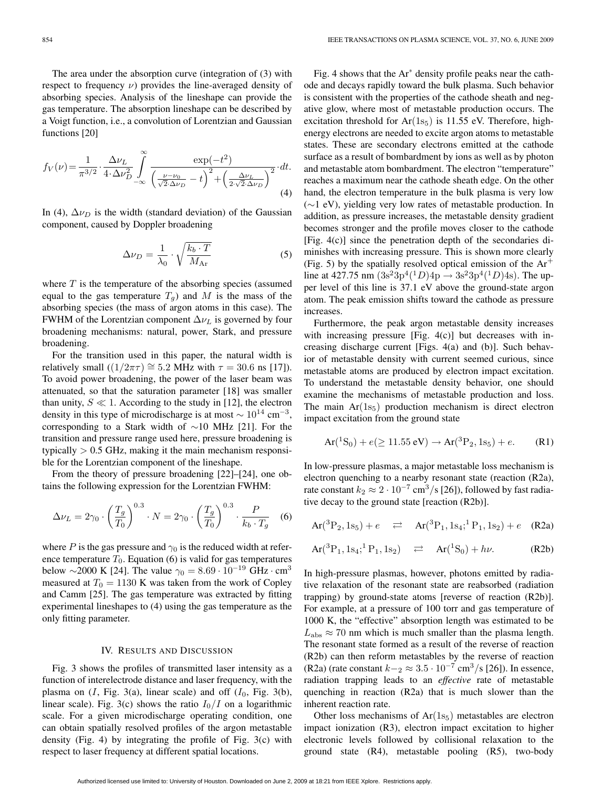$$
f_V(\nu) = \frac{1}{\pi^{3/2}} \cdot \frac{\Delta \nu_L}{4 \cdot \Delta \nu_D^2} \int_{-\infty}^{\infty} \frac{\exp(-t^2)}{\left(\frac{\nu - \nu_0}{\sqrt{2} \cdot \Delta \nu_D} - t\right)^2 + \left(\frac{\Delta \nu_L}{2 \cdot \sqrt{2} \cdot \Delta \nu_D}\right)^2} \cdot dt.
$$
\n(4)

In (4),  $\Delta \nu_D$  is the width (standard deviation) of the Gaussian component, caused by Doppler broadening

$$
\Delta \nu_D = \frac{1}{\lambda_0} \cdot \sqrt{\frac{k_b \cdot T}{M_{\rm Ar}}} \tag{5}
$$

where  $T$  is the temperature of the absorbing species (assumed equal to the gas temperature  $T_q$ ) and M is the mass of the absorbing species (the mass of argon atoms in this case). The FWHM of the Lorentzian component  $\Delta \nu_L$  is governed by four broadening mechanisms: natural, power, Stark, and pressure broadening.

For the transition used in this paper, the natural width is relatively small  $((1/2\pi\tau) \cong 5.2$  MHz with  $\tau = 30.6$  ns [17]). To avoid power broadening, the power of the laser beam was attenuated, so that the saturation parameter [18] was smaller than unity,  $S \ll 1$ . According to the study in [12], the electron density in this type of microdischarge is at most  $\sim 10^{14}$  cm<sup>-3</sup>, corresponding to a Stark width of ∼10 MHz [21]. For the transition and pressure range used here, pressure broadening is typically  $> 0.5$  GHz, making it the main mechanism responsible for the Lorentzian component of the lineshape.

From the theory of pressure broadening [22]–[24], one obtains the following expression for the Lorentzian FWHM:

$$
\Delta \nu_L = 2\gamma_0 \cdot \left(\frac{T_g}{T_0}\right)^{0.3} \cdot N = 2\gamma_0 \cdot \left(\frac{T_g}{T_0}\right)^{0.3} \cdot \frac{P}{k_b \cdot T_g} \quad (6)
$$

where P is the gas pressure and  $\gamma_0$  is the reduced width at reference temperature  $T_0$ . Equation (6) is valid for gas temperatures below ~2000 K [24]. The value  $\gamma_0 = 8.69 \cdot 10^{-19}$  GHz · cm<sup>3</sup> measured at  $T_0 = 1130$  K was taken from the work of Copley and Camm [25]. The gas temperature was extracted by fitting experimental lineshapes to (4) using the gas temperature as the only fitting parameter.

#### IV. RESULTS AND DISCUSSION

Fig. 3 shows the profiles of transmitted laser intensity as a function of interelectrode distance and laser frequency, with the plasma on  $(I, Fig. 3(a), linear scale)$  and off  $(I_0, Fig. 3(b),$ linear scale). Fig. 3(c) shows the ratio  $I_0/I$  on a logarithmic scale. For a given microdischarge operating condition, one can obtain spatially resolved profiles of the argon metastable density (Fig. 4) by integrating the profile of Fig. 3(c) with respect to laser frequency at different spatial locations.

Fig. 4 shows that the Ar<sup>∗</sup> density profile peaks near the cathode and decays rapidly toward the bulk plasma. Such behavior is consistent with the properties of the cathode sheath and negative glow, where most of metastable production occurs. The excitation threshold for  $Ar(1s<sub>5</sub>)$  is 11.55 eV. Therefore, highenergy electrons are needed to excite argon atoms to metastable states. These are secondary electrons emitted at the cathode surface as a result of bombardment by ions as well as by photon and metastable atom bombardment. The electron "temperature" reaches a maximum near the cathode sheath edge. On the other hand, the electron temperature in the bulk plasma is very low (∼1 eV), yielding very low rates of metastable production. In addition, as pressure increases, the metastable density gradient becomes stronger and the profile moves closer to the cathode [Fig. 4(c)] since the penetration depth of the secondaries diminishes with increasing pressure. This is shown more clearly (Fig. 5) by the spatially resolved optical emission of the  $Ar^+$ line at 427.75 nm  $(3s^23p^4(^1D)4p \rightarrow 3s^23p^4(^1D)4s)$ . The upper level of this line is 37.1 eV above the ground-state argon atom. The peak emission shifts toward the cathode as pressure increases.

Furthermore, the peak argon metastable density increases with increasing pressure [Fig. 4(c)] but decreases with increasing discharge current [Figs. 4(a) and (b)]. Such behavior of metastable density with current seemed curious, since metastable atoms are produced by electron impact excitation. To understand the metastable density behavior, one should examine the mechanisms of metastable production and loss. The main  $Ar(1s<sub>5</sub>)$  production mechanism is direct electron impact excitation from the ground state

$$
Ar(^{1}S_{0}) + e(\geq 11.55 \text{ eV}) \rightarrow Ar(^{3}P_{2}, 1s_{5}) + e. \tag{R1}
$$

In low-pressure plasmas, a major metastable loss mechanism is electron quenching to a nearby resonant state (reaction (R2a), rate constant  $k_2 \approx 2 \cdot 10^{-7}$  cm<sup>3</sup>/s [26]), followed by fast radiative decay to the ground state [reaction (R2b)].

$$
Ar(^{3}P_{2}, 1s_{5}) + e \quad \rightleftarrows \quad Ar(^{3}P_{1}, 1s_{4}; ^{1}P_{1}, 1s_{2}) + e \quad (R2a)
$$

$$
\text{Ar}({}^{3}P_{1}, 1s_{4}; {}^{1}P_{1}, 1s_{2}) \quad \rightleftarrows \quad \text{Ar}({}^{1}S_{0}) + h\nu. \tag{R2b}
$$

In high-pressure plasmas, however, photons emitted by radiative relaxation of the resonant state are reabsorbed (radiation trapping) by ground-state atoms [reverse of reaction (R2b)]. For example, at a pressure of 100 torr and gas temperature of 1000 K, the "effective" absorption length was estimated to be  $L_{\text{abs}} \approx 70$  nm which is much smaller than the plasma length. The resonant state formed as a result of the reverse of reaction (R2b) can then reform metastables by the reverse of reaction (R2a) (rate constant  $k-z \approx 3.5 \cdot 10^{-7}$  cm<sup>3</sup>/s [26]). In essence, radiation trapping leads to an *effective* rate of metastable quenching in reaction (R2a) that is much slower than the inherent reaction rate.

Other loss mechanisms of  $Ar(1s<sub>5</sub>)$  metastables are electron impact ionization (R3), electron impact excitation to higher electronic levels followed by collisional relaxation to the ground state (R4), metastable pooling (R5), two-body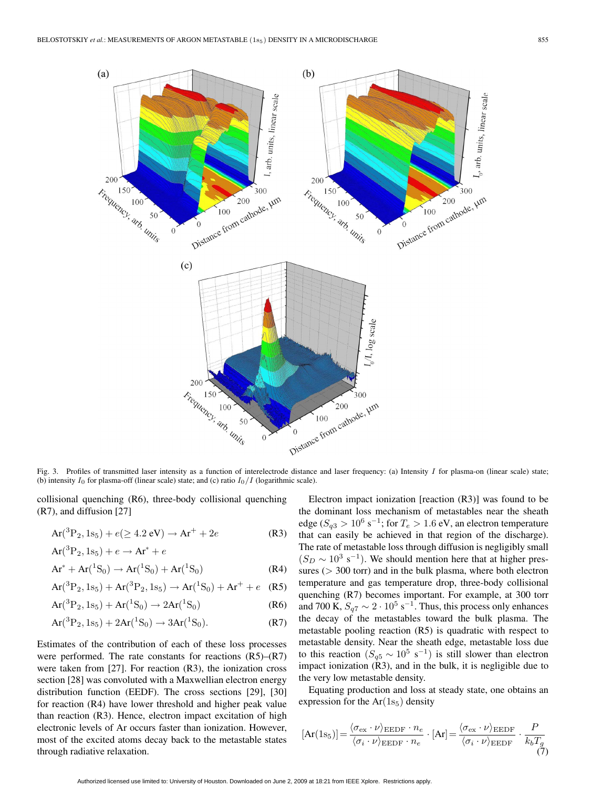

Fig. 3. Profiles of transmitted laser intensity as a function of interelectrode distance and laser frequency: (a) Intensity I for plasma-on (linear scale) state; (b) intensity  $I_0$  for plasma-off (linear scale) state; and (c) ratio  $I_0/I$  (logarithmic scale).

collisional quenching (R6), three-body collisional quenching (R7), and diffusion [27]

$$
Ar(^{3}P_{2}, 1s_{5}) + e(\geq 4.2 \text{ eV}) \rightarrow Ar^{+} + 2e
$$
 (R3)

$$
Ar(^{3}P_{2}, 1s_{5}) + e \rightarrow Ar^{*} + e
$$
  
\n
$$
Ar^{*} + Ar(^{1}S_{0}) \rightarrow Ar(^{1}S_{0}) + Ar(^{1}S_{0})
$$
 (R4)

$$
Ar(^{3}P_{2}, 1s_{5}) + Ar(^{3}P_{2}, 1s_{5}) \rightarrow Ar(^{1}S_{0}) + Ar^{+} + e
$$
 (R5)

$$
Ar(^{3}P_{2}, 1s_{5}) + Ar(^{1}S_{0}) \rightarrow 2Ar(^{1}S_{0})
$$
 (R6)

$$
Ar(^{3}P_{2}, 1s_{5}) + 2Ar(^{1}S_{0}) \rightarrow 3Ar(^{1}S_{0}). \tag{R7}
$$

Estimates of the contribution of each of these loss processes were performed. The rate constants for reactions  $(R5)$ – $(R7)$ were taken from [27]. For reaction (R3), the ionization cross section [28] was convoluted with a Maxwellian electron energy distribution function (EEDF). The cross sections [29], [30] for reaction (R4) have lower threshold and higher peak value than reaction (R3). Hence, electron impact excitation of high electronic levels of Ar occurs faster than ionization. However, most of the excited atoms decay back to the metastable states through radiative relaxation.

Electron impact ionization [reaction (R3)] was found to be the dominant loss mechanism of metastables near the sheath edge ( $S_{q3} > 10^6$  s<sup>-1</sup>; for  $T_e > 1.6$  eV, an electron temperature that can easily be achieved in that region of the discharge). The rate of metastable loss through diffusion is negligibly small  $(S_D \sim 10^3 \text{ s}^{-1})$ . We should mention here that at higher pressures ( $>$  300 torr) and in the bulk plasma, where both electron temperature and gas temperature drop, three-body collisional quenching (R7) becomes important. For example, at 300 torr and 700 K,  $S_{q7} \sim 2 \cdot 10^5 \text{ s}^{-1}$ . Thus, this process only enhances the decay of the metastables toward the bulk plasma. The metastable pooling reaction (R5) is quadratic with respect to metastable density. Near the sheath edge, metastable loss due to this reaction  $(S_{q5} \sim 10^5 \text{ s}^{-1})$  is still slower than electron impact ionization (R3), and in the bulk, it is negligible due to the very low metastable density.

Equating production and loss at steady state, one obtains an expression for the  $Ar(1s<sub>5</sub>)$  density

$$
[\text{Ar}(1s_5)] = \frac{\langle \sigma_{\text{ex}} \cdot \nu \rangle_{\text{EEDF}} \cdot n_e}{\langle \sigma_i \cdot \nu \rangle_{\text{EEDF}} \cdot n_e} \cdot [\text{Ar}] = \frac{\langle \sigma_{\text{ex}} \cdot \nu \rangle_{\text{EEDF}}}{\langle \sigma_i \cdot \nu \rangle_{\text{EEDF}}} \cdot \frac{P}{k_b T_g} \tag{7}
$$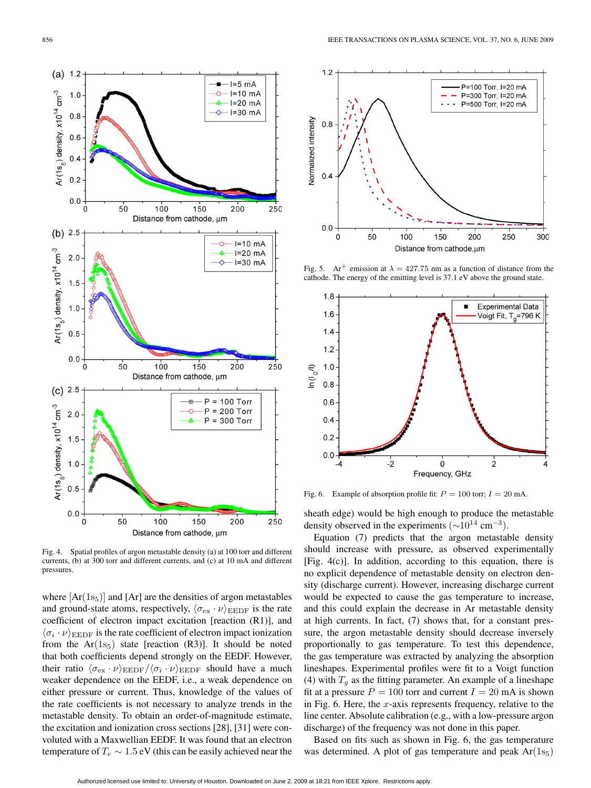

Fig. 4. Spatial profiles of argon metastable density (a) at 100 torr and different currents, (b) at 300 torr and different currents, and (c) at 10 mA and different pressures.

where  $[Ar(1s<sub>5</sub>)]$  and  $[Ar]$  are the densities of argon metastables and ground-state atoms, respectively,  $\langle \sigma_{\rm ex} \cdot \nu \rangle_{\rm EEDF}$  is the rate coefficient of electron impact excitation [reaction (R1)], and  $\langle \sigma_i \cdot \nu \rangle_{\rm EEDF}$  is the rate coefficient of electron impact ionization from the  $Ar(1s_5)$  state [reaction (R3)]. It should be noted that both coefficients depend strongly on the EEDF. However, their ratio  $\langle \sigma_{\rm ex} \cdot \nu \rangle_{\rm EEDF} / \langle \sigma_i \cdot \nu \rangle_{\rm EEDF}$  should have a much weaker dependence on the EEDF, i.e., a weak dependence on either pressure or current. Thus, knowledge of the values of the rate coefficients is not necessary to analyze trends in the metastable density. To obtain an order-of-magnitude estimate, the excitation and ionization cross sections [28], [31] were convoluted with a Maxwellian EEDF. It was found that an electron temperature of  $T_e \sim 1.5$  eV (this can be easily achieved near the



Fig. 5. Ar<sup>+</sup> emission at  $\lambda = 427.75$  nm as a function of distance from the cathode. The energy of the emitting level is 37.1 eV above the ground state.



Fig. 6. Example of absorption profile fit:  $P = 100$  torr;  $I = 20$  mA.

sheath edge) would be high enough to produce the metastable density observed in the experiments  $(\sim 10^{14} \text{ cm}^{-3})$ .

Equation (7) predicts that the argon metastable density should increase with pressure, as observed experimentally [Fig. 4(c)]. In addition, according to this equation, there is no explicit dependence of metastable density on electron density (discharge current). However, increasing discharge current would be expected to cause the gas temperature to increase, and this could explain the decrease in Ar metastable density at high currents. In fact, (7) shows that, for a constant pressure, the argon metastable density should decrease inversely proportionally to gas temperature. To test this dependence, the gas temperature was extracted by analyzing the absorption lineshapes. Experimental profiles were fit to a Voigt function (4) with  $T<sub>q</sub>$  as the fitting parameter. An example of a lineshape fit at a pressure  $P = 100$  torr and current  $I = 20$  mA is shown in Fig. 6. Here, the  $x$ -axis represents frequency, relative to the line center. Absolute calibration (e.g., with a low-pressure argon discharge) of the frequency was not done in this paper.

Based on fits such as shown in Fig. 6, the gas temperature was determined. A plot of gas temperature and peak  $Ar(1s<sub>5</sub>)$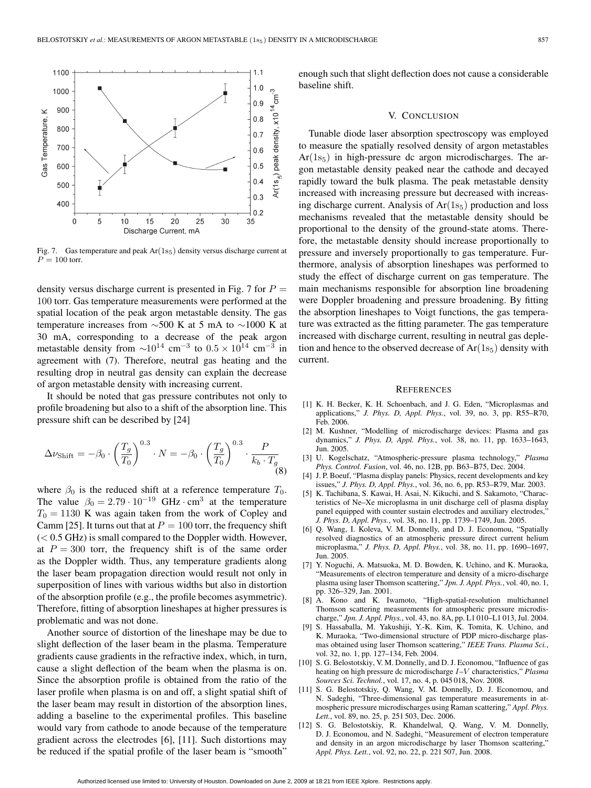

Fig. 7. Gas temperature and peak  $Ar(1s<sub>5</sub>)$  density versus discharge current at  $P = 100$  torr.

density versus discharge current is presented in Fig. 7 for  $P =$ 100 torr. Gas temperature measurements were performed at the spatial location of the peak argon metastable density. The gas temperature increases from  $\sim$ 500 K at 5 mA to  $\sim$ 1000 K at 30 mA, corresponding to a decrease of the peak argon metastable density from  $\sim 10^{14}$  cm<sup>-3</sup> to  $0.5 \times 10^{14}$  cm<sup>-3</sup> in agreement with (7). Therefore, neutral gas heating and the resulting drop in neutral gas density can explain the decrease of argon metastable density with increasing current.

It should be noted that gas pressure contributes not only to profile broadening but also to a shift of the absorption line. This pressure shift can be described by [24]

$$
\Delta \nu_{\text{Shift}} = -\beta_0 \cdot \left(\frac{T_g}{T_0}\right)^{0.3} \cdot N = -\beta_0 \cdot \left(\frac{T_g}{T_0}\right)^{0.3} \cdot \frac{P}{k_b \cdot T_g} \tag{8}
$$

where  $\beta_0$  is the reduced shift at a reference temperature  $T_0$ . The value  $\beta_0 = 2.79 \cdot 10^{-19}$  GHz · cm<sup>3</sup> at the temperature  $T_0 = 1130$  K was again taken from the work of Copley and Camm [25]. It turns out that at  $P = 100$  torr, the frequency shift  $(< 0.5$  GHz) is small compared to the Doppler width. However, at  $P = 300$  torr, the frequency shift is of the same order as the Doppler width. Thus, any temperature gradients along the laser beam propagation direction would result not only in superposition of lines with various widths but also in distortion of the absorption profile (e.g., the profile becomes asymmetric). Therefore, fitting of absorption lineshapes at higher pressures is problematic and was not done.

Another source of distortion of the lineshape may be due to slight deflection of the laser beam in the plasma. Temperature gradients cause gradients in the refractive index, which, in turn, cause a slight deflection of the beam when the plasma is on. Since the absorption profile is obtained from the ratio of the laser profile when plasma is on and off, a slight spatial shift of the laser beam may result in distortion of the absorption lines, adding a baseline to the experimental profiles. This baseline would vary from cathode to anode because of the temperature gradient across the electrodes [6], [11]. Such distortions may be reduced if the spatial profile of the laser beam is "smooth"

enough such that slight deflection does not cause a considerable baseline shift.

## V. CONCLUSION

Tunable diode laser absorption spectroscopy was employed to measure the spatially resolved density of argon metastables  $Ar(1s<sub>5</sub>)$  in high-pressure dc argon microdischarges. The argon metastable density peaked near the cathode and decayed rapidly toward the bulk plasma. The peak metastable density increased with increasing pressure but decreased with increasing discharge current. Analysis of  $Ar(1s<sub>5</sub>)$  production and loss mechanisms revealed that the metastable density should be proportional to the density of the ground-state atoms. Therefore, the metastable density should increase proportionally to pressure and inversely proportionally to gas temperature. Furthermore, analysis of absorption lineshapes was performed to study the effect of discharge current on gas temperature. The main mechanisms responsible for absorption line broadening were Doppler broadening and pressure broadening. By fitting the absorption lineshapes to Voigt functions, the gas temperature was extracted as the fitting parameter. The gas temperature increased with discharge current, resulting in neutral gas depletion and hence to the observed decrease of  $Ar(1s<sub>5</sub>)$  density with current.

#### **REFERENCES**

- [1] K. H. Becker, K. H. Schoenbach, and J. G. Eden, "Microplasmas and applications," *J. Phys. D, Appl. Phys.*, vol. 39, no. 3, pp. R55–R70, Feb. 2006.
- [2] M. Kushner, "Modelling of microdischarge devices: Plasma and gas dynamics," *J. Phys. D, Appl. Phys.*, vol. 38, no. 11, pp. 1633–1643, Jun. 2005.
- [3] U. Kogelschatz, "Atmospheric-pressure plasma technology," *Plasma Phys. Control. Fusion*, vol. 46, no. 12B, pp. B63–B75, Dec. 2004.
- [4] J. P. Boeuf, "Plasma display panels: Physics, recent developments and key issues," *J. Phys. D, Appl. Phys.*, vol. 36, no. 6, pp. R53–R79, Mar. 2003.
- [5] K. Tachibana, S. Kawai, H. Asai, N. Kikuchi, and S. Sakamoto, "Characteristics of Ne–Xe microplasma in unit discharge cell of plasma display panel equipped with counter sustain electrodes and auxiliary electrodes,' *J. Phys. D, Appl. Phys.*, vol. 38, no. 11, pp. 1739–1749, Jun. 2005.
- [6] Q. Wang, I. Koleva, V. M. Donnelly, and D. J. Economou, "Spatially resolved diagnostics of an atmospheric pressure direct current helium microplasma," *J. Phys. D, Appl. Phys.*, vol. 38, no. 11, pp. 1690–1697, Jun. 2005.
- [7] Y. Noguchi, A. Matsuoka, M. D. Bowden, K. Uchino, and K. Muraoka, "Measurements of electron temperature and density of a micro-discharge plasma using laser Thomson scattering," *Jpn. J. Appl. Phys.*, vol. 40, no. 1, pp. 326–329, Jan. 2001.
- [8] A. Kono and K. Iwamoto, "High-spatial-resolution multichannel Thomson scattering measurements for atmospheric pressure microdischarge," *Jpn. J. Appl. Phys.*, vol. 43, no. 8A, pp. L1 010–L1 013, Jul. 2004.
- [9] S. Hassaballa, M. Yakushiji, Y.-K. Kim, K. Tomita, K. Uchino, and K. Muraoka, "Two-dimensional structure of PDP micro-discharge plasmas obtained using laser Thomson scattering," *IEEE Trans. Plasma Sci.*, vol. 32, no. 1, pp. 127–134, Feb. 2004.
- [10] S. G. Belostotskiy, V. M. Donnelly, and D. J. Economou, "Influence of gas heating on high pressure dc microdischarge I–V characteristics," *Plasma Sources Sci. Technol.*, vol. 17, no. 4, p. 045 018, Nov. 2008.
- [11] S. G. Belostotskiy, Q. Wang, V. M. Donnelly, D. J. Economou, and N. Sadeghi, "Three-dimensional gas temperature measurements in atmospheric pressure microdischarges using Raman scattering," *Appl. Phys. Lett.*, vol. 89, no. 25, p. 251 503, Dec. 2006.
- [12] S. G. Belostotskiy, R. Khandelwal, Q. Wang, V. M. Donnelly, D. J. Economou, and N. Sadeghi, "Measurement of electron temperature and density in an argon microdischarge by laser Thomson scattering," *Appl. Phys. Lett.*, vol. 92, no. 22, p. 221 507, Jun. 2008.